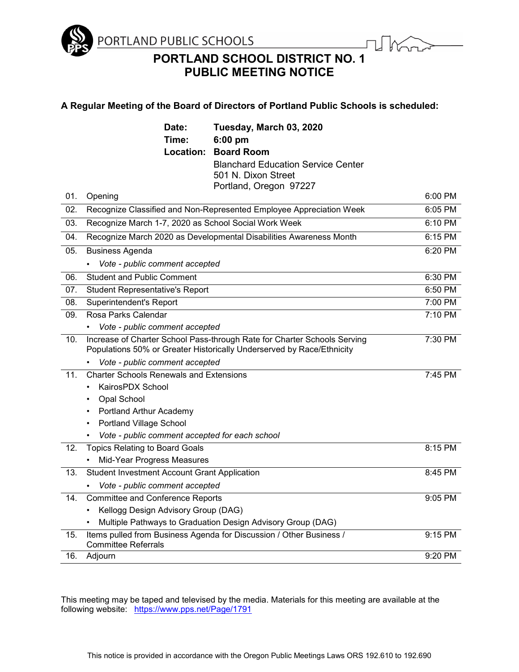

**PORTLAND SCHOOL DISTRICT NO. 1 PUBLIC MEETING NOTICE**

# **A Regular Meeting of the Board of Directors of Portland Public Schools is scheduled:**

|     | Date:                                                                                             | Tuesday, March 03, 2020                                                                                                                           |         |
|-----|---------------------------------------------------------------------------------------------------|---------------------------------------------------------------------------------------------------------------------------------------------------|---------|
|     | Time:                                                                                             | 6:00 pm                                                                                                                                           |         |
|     |                                                                                                   | <b>Location: Board Room</b>                                                                                                                       |         |
|     |                                                                                                   | <b>Blanchard Education Service Center</b>                                                                                                         |         |
|     |                                                                                                   | 501 N. Dixon Street                                                                                                                               |         |
|     |                                                                                                   | Portland, Oregon 97227                                                                                                                            |         |
| 01. | Opening                                                                                           |                                                                                                                                                   | 6:00 PM |
| 02. | Recognize Classified and Non-Represented Employee Appreciation Week                               |                                                                                                                                                   | 6:05 PM |
| 03. | Recognize March 1-7, 2020 as School Social Work Week                                              |                                                                                                                                                   | 6:10 PM |
| 04. | Recognize March 2020 as Developmental Disabilities Awareness Month                                |                                                                                                                                                   | 6:15 PM |
| 05. | <b>Business Agenda</b>                                                                            |                                                                                                                                                   | 6:20 PM |
|     | Vote - public comment accepted                                                                    |                                                                                                                                                   |         |
| 06. | <b>Student and Public Comment</b>                                                                 |                                                                                                                                                   | 6:30 PM |
| 07. | <b>Student Representative's Report</b>                                                            |                                                                                                                                                   | 6:50 PM |
| 08. | Superintendent's Report                                                                           |                                                                                                                                                   | 7:00 PM |
| 09. | Rosa Parks Calendar                                                                               |                                                                                                                                                   | 7:10 PM |
|     | • Vote - public comment accepted                                                                  |                                                                                                                                                   |         |
| 10. |                                                                                                   | Increase of Charter School Pass-through Rate for Charter Schools Serving<br>Populations 50% or Greater Historically Underserved by Race/Ethnicity | 7:30 PM |
|     | • Vote - public comment accepted                                                                  |                                                                                                                                                   |         |
| 11. | <b>Charter Schools Renewals and Extensions</b>                                                    |                                                                                                                                                   | 7:45 PM |
|     | KairosPDX School                                                                                  |                                                                                                                                                   |         |
|     | Opal School                                                                                       |                                                                                                                                                   |         |
|     | Portland Arthur Academy                                                                           |                                                                                                                                                   |         |
|     | <b>Portland Village School</b>                                                                    |                                                                                                                                                   |         |
|     | • Vote - public comment accepted for each school                                                  |                                                                                                                                                   |         |
| 12. | <b>Topics Relating to Board Goals</b>                                                             |                                                                                                                                                   | 8:15 PM |
|     | Mid-Year Progress Measures                                                                        |                                                                                                                                                   |         |
| 13. | <b>Student Investment Account Grant Application</b>                                               |                                                                                                                                                   | 8:45 PM |
|     | Vote - public comment accepted                                                                    |                                                                                                                                                   |         |
| 14. | <b>Committee and Conference Reports</b>                                                           |                                                                                                                                                   | 9:05 PM |
|     | Kellogg Design Advisory Group (DAG)                                                               |                                                                                                                                                   |         |
|     | Multiple Pathways to Graduation Design Advisory Group (DAG)                                       |                                                                                                                                                   |         |
| 15. | Items pulled from Business Agenda for Discussion / Other Business /<br><b>Committee Referrals</b> |                                                                                                                                                   | 9:15 PM |
| 16. | Adjourn                                                                                           |                                                                                                                                                   | 9:20 PM |

This meeting may be taped and televised by the media. Materials for this meeting are available at the following website: <https://www.pps.net/Page/1791>